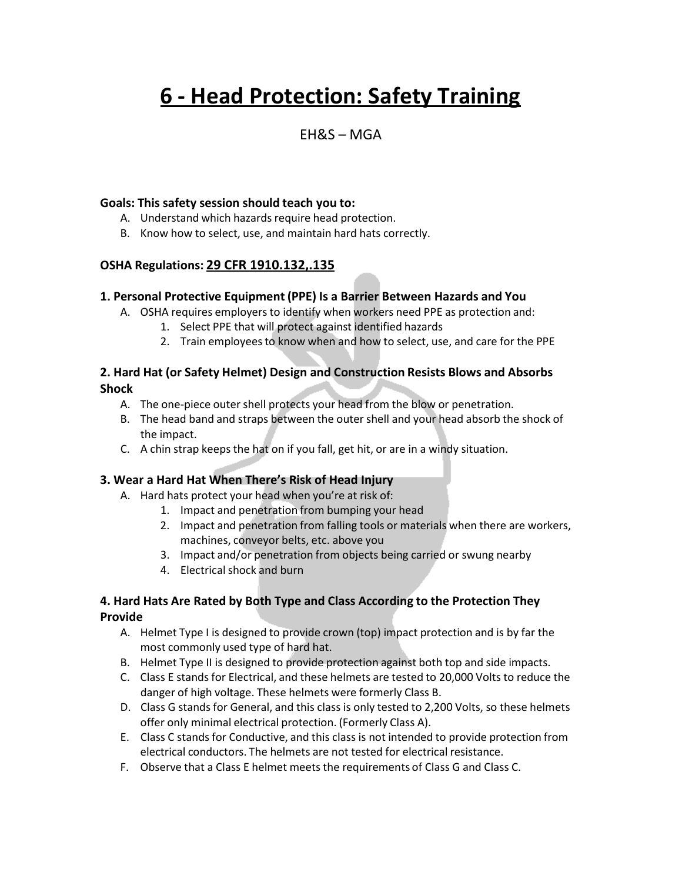# **6 - Head Protection: Safety Training**

### $FHRS - MGA$

#### **Goals: This safety session should teach you to:**

- A. Understand which hazards require head protection.
- B. Know how to select, use, and maintain hard hats correctly.

#### **OSHA Regulations: 29 CFR 1910.132,.135**

#### **1. Personal Protective Equipment (PPE) Is a Barrier Between Hazards and You**

- A. OSHA requires employers to identify when workers need PPE as protection and:
	- 1. Select PPE that will protect against identified hazards
	- 2. Train employeesto know when and how to select, use, and care for the PPE

#### **2. Hard Hat (or Safety Helmet) Design and Construction Resists Blows and Absorbs Shock**

- A. The one-piece outer shell protects your head from the blow or penetration.
- B. The head band and straps between the outershell and your head absorb the shock of the impact.
- C. A chin strap keeps the hat on if you fall, get hit, or are in a windy situation.

#### **3. Wear a Hard Hat When There's Risk of Head Injury**

- A. Hard hats protect your head when you're at risk of:
	- 1. Impact and penetration from bumping your head
	- 2. Impact and penetration from falling tools or materials when there are workers, machines, conveyor belts, etc. above you
	- 3. Impact and/or penetration from objects being carried or swung nearby
	- 4. Electrical shock and burn

#### **4. Hard Hats Are Rated by Both Type and Class According to the Protection They Provide**

- A. Helmet Type I is designed to provide crown (top) impact protection and is by far the most commonly used type of hard hat.
- B. Helmet Type II is designed to provide protection against both top and side impacts.
- C. Class E stands for Electrical, and these helmets are tested to 20,000 Volts to reduce the danger of high voltage. These helmets were formerly Class B.
- D. Class G stands for General, and this class is only tested to 2,200 Volts, so these helmets offer only minimal electrical protection. (Formerly Class A).
- E. Class C stands for Conductive, and this class is not intended to provide protection from electrical conductors. The helmets are not tested for electrical resistance.
- F. Observe that a Class E helmet meets the requirements of Class G and Class C.